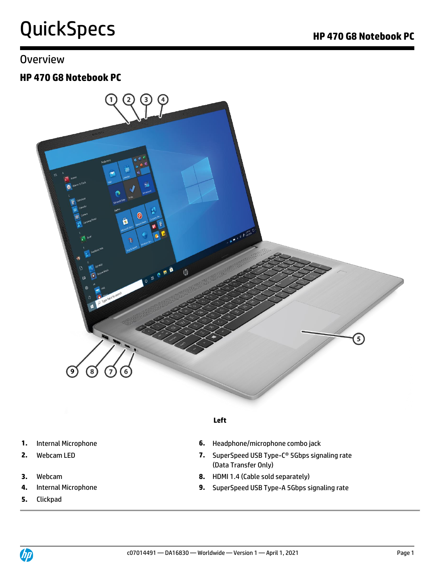## **Overview**

## **HP 470 G8 Notebook PC**



### **Left**

- 
- 
- 
- 
- **5.** Clickpad
- **1.** Internal Microphone **6.** Headphone/microphone combo jack
- **2.** Webcam LED **7.** SuperSpeed USB Type-C® 5Gbps signaling rate (Data Transfer Only)
- **3.** Webcam **8.** HDMI 1.4 (Cable sold separately)
- **4.** Internal Microphone **9.** SuperSpeed USB Type-A 5Gbps signaling rate

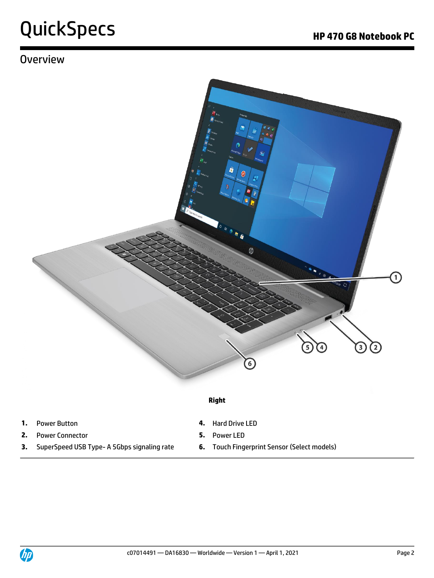# **Overview**



### **Right**

- **1.** Power Button **4.** Hard Drive LED
- **2.** Power Connector **5.** Power LED
- **3.** SuperSpeed USB Type- A 5Gbps signaling rate **6.** Touch Fingerprint Sensor (Select models)
- 
- -

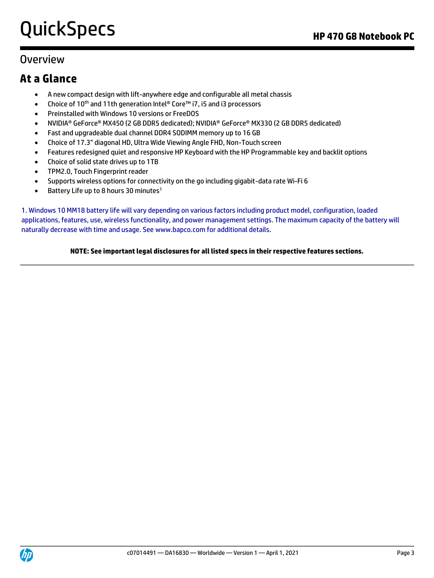## **Overview**

## **At a Glance**

- A new compact design with lift-anywhere edge and configurable all metal chassis
- Choice of 10<sup>th</sup> and 11th generation Intel® Core<sup>™</sup> i7, i5 and i3 processors
- Preinstalled with Windows 10 versions or FreeDOS
- NVIDIA® GeForce® MX450 (2 GB DDR5 dedicated); NVIDIA® GeForce® MX330 (2 GB DDR5 dedicated)
- Fast and upgradeable dual channel DDR4 SODIMM memory up to 16 GB
- Choice of 17.3" diagonal HD, Ultra Wide Viewing Angle FHD, Non-Touch screen
- Features redesigned quiet and responsive HP Keyboard with the HP Programmable key and backlit options
- Choice of solid state drives up to 1TB
- TPM2.0, Touch Fingerprint reader
- Supports wireless options for connectivity on the go including gigabit-data rate Wi-Fi 6
- Battery Life up to 8 hours 30 minutes<sup>1</sup>

1. Windows 10 MM18 battery life will vary depending on various factors including product model, configuration, loaded applications, features, use, wireless functionality, and power management settings. The maximum capacity of the battery will naturally decrease with time and usage. See www.bapco.com for additional details.

### **NOTE: See important legal disclosures for all listed specs in their respective features sections.**

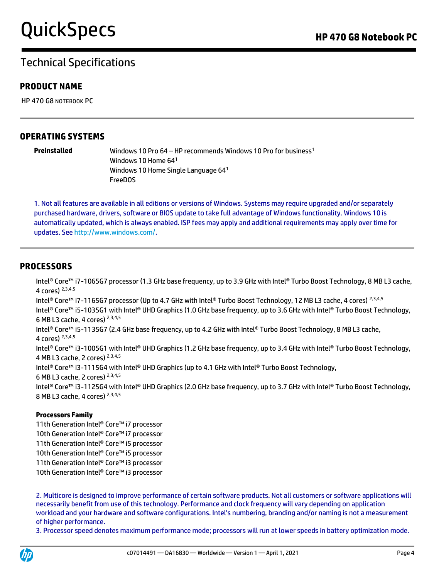## Technical Specifications

## **PRODUCT NAME**

HP 470 G8 NOTEBOOK PC

## **OPERATING SYSTEMS**

**Preinstalled** Windows 10 Pro 64 – HP recommends Windows 10 Pro for business<sup>1</sup> Windows 10 Home 64<sup>1</sup> Windows 10 Home Single Language 64<sup>1</sup> FreeDOS

1. Not all features are available in all editions or versions of Windows. Systems may require upgraded and/or separately purchased hardware, drivers, software or BIOS update to take full advantage of Windows functionality. Windows 10 is automatically updated, which is always enabled. ISP fees may apply and additional requirements may apply over time for updates. See [http://www.windows.com/.](http://www.windows.com/)

## **PROCESSORS**

Intel® Core™ i7-1065G7 processor (1.3 GHz base frequency, up to 3.9 GHz with Intel® Turbo Boost Technology, 8 MB L3 cache, 4 cores) 2,3,4,5 Intel® Core™ i7-1165G7 processor (Up to 4.7 GHz with Intel® Turbo Boost Technology, 12 MB L3 cache, 4 cores) 2,3,4,5 Intel® Core™ i5-1035G1 with Intel® UHD Graphics (1.0 GHz base frequency, up to 3.6 GHz with Intel® Turbo Boost Technology, 6 MB L3 cache, 4 cores) 2,3,4,5 Intel® Core™ i5-1135G7 (2.4 GHz base frequency, up to 4.2 GHz with Intel® Turbo Boost Technology, 8 MB L3 cache, 4 cores) 2,3,4,5 Intel® Core™ i3-1005G1 with Intel® UHD Graphics (1.2 GHz base frequency, up to 3.4 GHz with Intel® Turbo Boost Technology, 4 MB L3 cache, 2 cores) 2,3,4,5 Intel® Core™ i3-1115G4 with Intel® UHD Graphics (up to 4.1 GHz with Intel® Turbo Boost Technology, 6 MB L3 cache, 2 cores) 2,3,4,5 Intel® Core™ i3-1125G4 with Intel® UHD Graphics (2.0 GHz base frequency, up to 3.7 GHz with Intel® Turbo Boost Technology, 8 MB L3 cache, 4 cores) 2,3,4,5

### **Processors Family**

11th Generation Intel® Core™ i7 processor 10th Generation Intel® Core™ i7 processor 11th Generation Intel® Core™ i5 processor 10th Generation Intel® Core™ i5 processor 11th Generation Intel® Core™ i3 processor 10th Generation Intel® Core™ i3 processor

2. Multicore is designed to improve performance of certain software products. Not all customers or software applications will necessarily benefit from use of this technology. Performance and clock frequency will vary depending on application workload and your hardware and software configurations. Intel's numbering, branding and/or naming is not a measurement of higher performance.

3. Processor speed denotes maximum performance mode; processors will run at lower speeds in battery optimization mode.

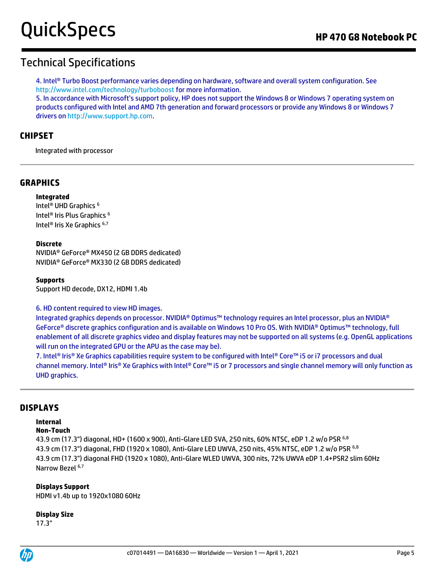4. Intel® Turbo Boost performance varies depending on hardware, software and overall system configuration. See http://www.intel.com/technology/turboboost for more information.

5. In accordance with Microsoft's support policy, HP does not support the Windows 8 or Windows 7 operating system on products configured with Intel and AMD 7th generation and forward processors or provide any Windows 8 or Windows 7 drivers o[n http://www.support.hp.com.](http://www.support.hp.com/)

## **CHIPSET**

Integrated with processor

## **GRAPHICS**

#### **Integrated**

Intel® UHD Graphics <sup>6</sup> Intel® Iris Plus Graphics <sup>6</sup> Intel® Iris Xe Graphics 6,7

#### **Discrete**

NVIDIA® GeForce® MX450 (2 GB DDR5 dedicated) NVIDIA® GeForce® MX330 (2 GB DDR5 dedicated)

#### **Supports**

Support HD decode, DX12, HDMI 1.4b

#### 6. HD content required to view HD images.

Integrated graphics depends on processor. NVIDIA® Optimus™ technology requires an Intel processor, plus an NVIDIA® GeForce® discrete graphics configuration and is available on Windows 10 Pro OS. With NVIDIA® Optimus™ technology, full enablement of all discrete graphics video and display features may not be supported on all systems (e.g. OpenGL applications will run on the integrated GPU or the APU as the case may be).

7. Intel® Iris® Xe Graphics capabilities require system to be configured with Intel® Core™ i5 or i7 processors and dual channel memory. Intel® Iris® Xe Graphics with Intel® Core™ i5 or 7 processors and single channel memory will only function as UHD graphics.

### **DISPLAYS**

### **Internal**

#### **Non-Touch**

43.9 cm (17.3") diagonal, HD+ (1600 x 900), Anti-Glare LED SVA, 250 nits, 60% NTSC, eDP 1.2 w/o PSR 6,8 43.9 cm (17.3") diagonal, FHD (1920 x 1080), Anti-Glare LED UWVA, 250 nits, 45% NTSC, eDP 1.2 w/o PSR 6,8 43.9 cm (17.3") diagonal FHD (1920 x 1080), Anti-Glare WLED UWVA, 300 nits, 72% UWVA eDP 1.4+PSR2 slim 60Hz Narrow Bezel 6,7

### **Displays Support**

HDMI v1.4b up to 1920x1080 60Hz

#### **Display Size**

17.3"

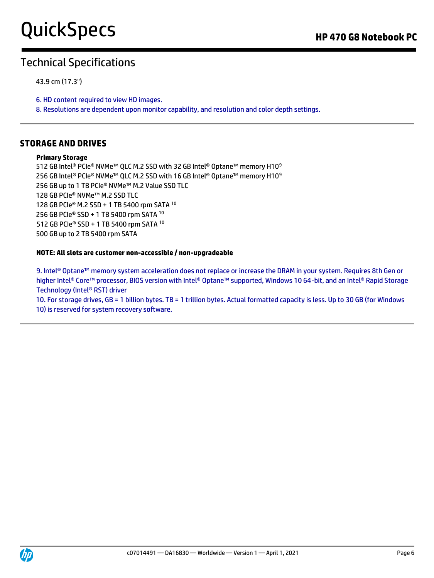## Technical Specifications

43.9 cm (17.3")

6. HD content required to view HD images.

8. Resolutions are dependent upon monitor capability, and resolution and color depth settings.

### **STORAGE AND DRIVES**

#### **Primary Storage**

512 GB Intel® PCIe® NVMe™ QLC M.2 SSD with 32 GB Intel® Optane™ memory H10<sup>9</sup> 256 GB Intel® PCIe® NVMe<sup>™</sup> QLC M.2 SSD with 16 GB Intel® Optane™ memory H10<sup>9</sup> 256 GB up to 1 TB PCIe® NVMe™ M.2 Value SSD TLC 128 GB PCIe® NVMe™ M.2 SSD TLC 128 GB PCIe® M.2 SSD + 1 TB 5400 rpm SATA <sup>10</sup> 256 GB PCIe® SSD + 1 TB 5400 rpm SATA <sup>10</sup> 512 GB PCIe® SSD + 1 TB 5400 rpm SATA <sup>10</sup> 500 GB up to 2 TB 5400 rpm SATA

#### **NOTE: All slots are customer non-accessible / non-upgradeable**

9. Intel® Optane™ memory system acceleration does not replace or increase the DRAM in your system. Requires 8th Gen or higher Intel® Core™ processor, BIOS version with Intel® Optane™ supported, Windows 10 64-bit, and an Intel® Rapid Storage Technology (Intel® RST) driver

10. For storage drives, GB = 1 billion bytes. TB = 1 trillion bytes. Actual formatted capacity is less. Up to 30 GB (for Windows 10) is reserved for system recovery software.

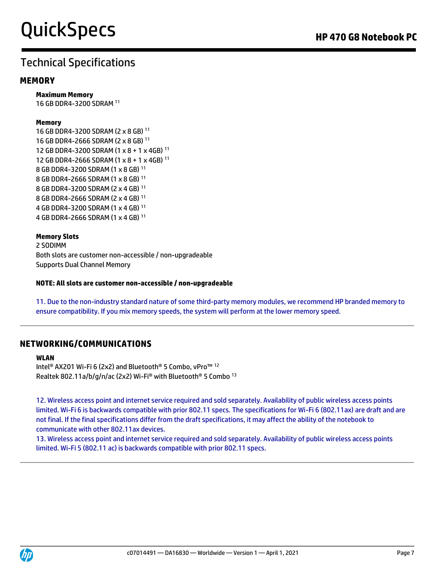## **MEMORY**

**Maximum Memory**  16 GB DDR4-3200 SDRAM <sup>11</sup>

#### **Memory**

16 GB DDR4-3200 SDRAM (2 x 8 GB) <sup>11</sup> 16 GB DDR4-2666 SDRAM (2 x 8 GB) <sup>11</sup> 12 GB DDR4-3200 SDRAM (1 x 8 + 1 x 4GB) <sup>11</sup> 12 GB DDR4-2666 SDRAM (1 x 8 + 1 x 4GB) <sup>11</sup> 8 GB DDR4-3200 SDRAM (1 x 8 GB) <sup>11</sup> 8 GB DDR4-2666 SDRAM (1 x 8 GB) <sup>11</sup> 8 GB DDR4-3200 SDRAM (2 x 4 GB) <sup>11</sup> 8 GB DDR4-2666 SDRAM (2 x 4 GB) <sup>11</sup> 4 GB DDR4-3200 SDRAM (1 x 4 GB) <sup>11</sup> 4 GB DDR4-2666 SDRAM (1 x 4 GB) <sup>11</sup>

#### **Memory Slots** 2 SODIMM Both slots are customer non-accessible / non-upgradeable Supports Dual Channel Memory

#### **NOTE: All slots are customer non-accessible / non-upgradeable**

11. Due to the non-industry standard nature of some third-party memory modules, we recommend HP branded memory to ensure compatibility. If you mix memory speeds, the system will perform at the lower memory speed.

## **NETWORKING/COMMUNICATIONS**

#### **WLAN**  Intel® AX201 Wi-Fi 6 (2x2) and Bluetooth® 5 Combo, vPro™ <sup>12</sup> Realtek 802.11a/b/g/n/ac (2x2) Wi-Fi® with Bluetooth® 5 Combo <sup>13</sup>

12. Wireless access point and internet service required and sold separately. Availability of public wireless access points limited. Wi-Fi 6 is backwards compatible with prior 802.11 specs. The specifications for Wi-Fi 6 (802.11ax) are draft and are not final. If the final specifications differ from the draft specifications, it may affect the ability of the notebook to communicate with other 802.11ax devices.

13. Wireless access point and internet service required and sold separately. Availability of public wireless access points limited. Wi-Fi 5 (802.11 ac) is backwards compatible with prior 802.11 specs.

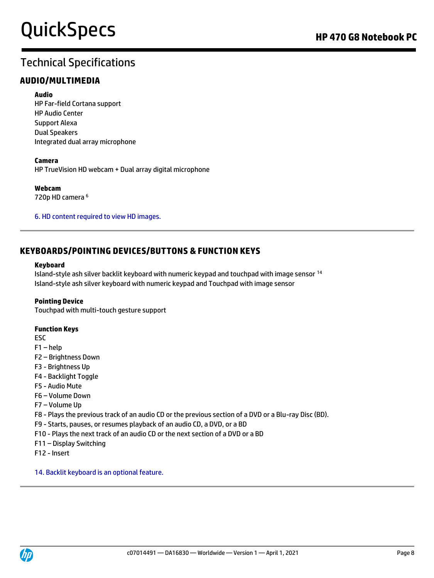## **AUDIO/MULTIMEDIA**

#### **Audio**

HP Far-field Cortana support HP Audio Center Support Alexa Dual Speakers Integrated dual array microphone

#### **Camera**

HP TrueVision HD webcam + Dual array digital microphone

**Webcam** 720p HD camera <sup>6</sup>

6. HD content required to view HD images.

## **KEYBOARDS/POINTING DEVICES/BUTTONS & FUNCTION KEYS**

#### **Keyboard**

Island-style ash silver backlit keyboard with numeric keypad and touchpad with image sensor <sup>14</sup> Island-style ash silver keyboard with numeric keypad and Touchpad with image sensor

### **Pointing Device**

Touchpad with multi-touch gesture support

### **Function Keys**

ESC

- F1 help
- F2 Brightness Down
- F3 Brightness Up
- F4 Backlight Toggle
- F5 Audio Mute
- F6 Volume Down
- F7 Volume Up

F8 - Plays the previous track of an audio CD or the previous section of a DVD or a Blu-ray Disc (BD).

- F9 Starts, pauses, or resumes playback of an audio CD, a DVD, or a BD
- F10 Plays the next track of an audio CD or the next section of a DVD or a BD
- F11 Display Switching
- F12 Insert

14. Backlit keyboard is an optional feature.

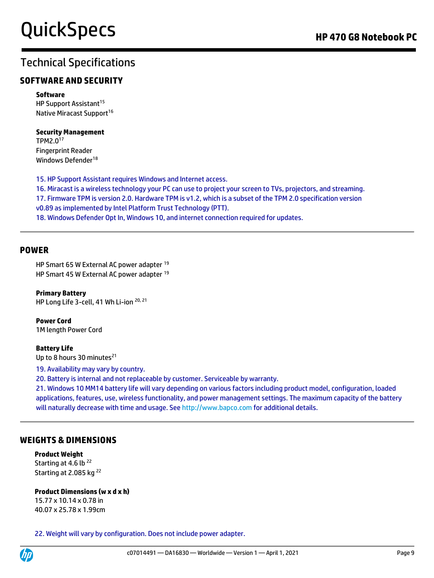## **SOFTWARE AND SECURITY**

#### **Software**

HP Support Assistant<sup>15</sup> Native Miracast Support<sup>16</sup>

### **Security Management**

TPM2.0<sup>17</sup> Fingerprint Reader Windows Defender<sup>18</sup>

15. HP Support Assistant requires Windows and Internet access. 16. Miracast is a wireless technology your PC can use to project your screen to TVs, projectors, and streaming. 17. Firmware TPM is version 2.0. Hardware TPM is v1.2, which is a subset of the TPM 2.0 specification version v0.89 as implemented by Intel Platform Trust Technology (PTT). 18. Windows Defender Opt In, Windows 10, and internet connection required for updates.

### **POWER**

HP Smart 65 W External AC power adapter <sup>19</sup> HP Smart 45 W External AC power adapter <sup>19</sup>

**Primary Battery**  HP Long Life 3-cell, 41 Wh Li-ion 20, 21

**Power Cord**  1M length Power Cord

### **Battery Life**

Up to 8 hours 30 minutes<sup>21</sup>

19. Availability may vary by country.

20. Battery is internal and not replaceable by customer. Serviceable by warranty.

21. Windows 10 MM14 battery life will vary depending on various factors including product model, configuration, loaded applications, features, use, wireless functionality, and power management settings. The maximum capacity of the battery will naturally decrease with time and usage. See http://www.bapco.com for additional details.

## **WEIGHTS & DIMENSIONS**

**Product Weight** Starting at 4.6 lb<sup>22</sup> Starting at 2.085 kg<sup>22</sup>

### **Product Dimensions (w x d x h)**

15.77 x 10.14 x 0.78 in 40.07 x 25.78 x 1.99cm

22. Weight will vary by configuration. Does not include power adapter.

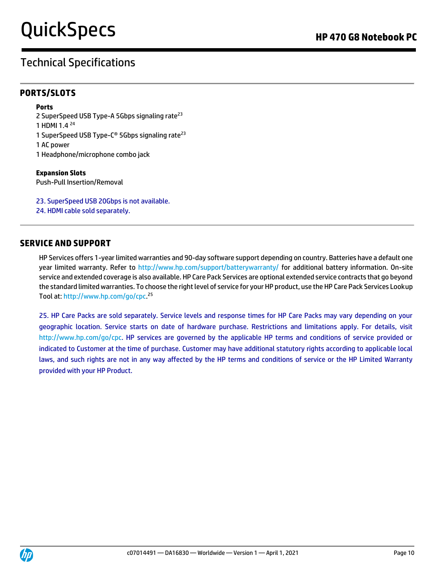# Technical Specifications

## **PORTS/SLOTS**

### **Ports**

2 SuperSpeed USB Type-A 5Gbps signaling rate<sup>23</sup> 1 HDMI 1.4 <sup>24</sup> 1 SuperSpeed USB Type-C<sup>®</sup> 5Gbps signaling rate<sup>23</sup> 1 AC power 1 Headphone/microphone combo jack

#### **Expansion Slots**  Push-Pull Insertion/Removal

23. SuperSpeed USB 20Gbps is not available.

24. HDMI cable sold separately.

## **SERVICE AND SUPPORT**

HP Services offers 1-year limited warranties and 90-day software support depending on country. Batteries have a default one year limited warranty. Refer to<http://www.hp.com/support/batterywarranty/> for additional battery information. On-site service and extended coverage is also available. HP Care Pack Services are optional extended service contracts that go beyond the standard limited warranties. To choose the right level of service for your HP product, use the HP Care Pack Services Lookup Tool at: [http://www.hp.com/go/cpc.](http://www.hp.com/go/cpc) 25

25. HP Care Packs are sold separately. Service levels and response times for HP Care Packs may vary depending on your geographic location. Service starts on date of hardware purchase. Restrictions and limitations apply. For details, visit http://www.hp.com/go/cpc. HP services are governed by the applicable HP terms and conditions of service provided or indicated to Customer at the time of purchase. Customer may have additional statutory rights according to applicable local laws, and such rights are not in any way affected by the HP terms and conditions of service or the HP Limited Warranty provided with your HP Product.

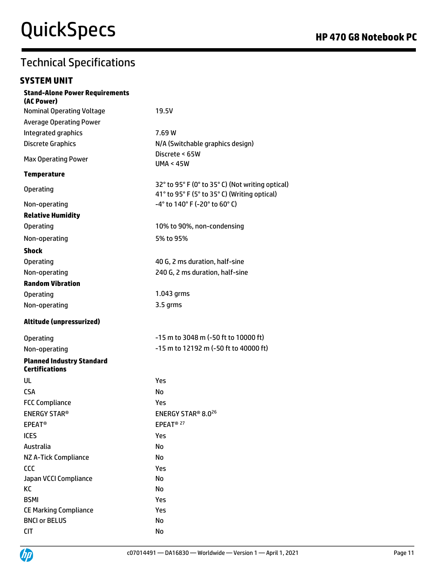## **SYSTEM UNIT**

| <b>Stand-Alone Power Requirements</b><br>(AC Power)       |                                                                                                  |
|-----------------------------------------------------------|--------------------------------------------------------------------------------------------------|
| <b>Nominal Operating Voltage</b>                          | 19.5V                                                                                            |
| <b>Average Operating Power</b>                            |                                                                                                  |
| Integrated graphics                                       | 7.69 W                                                                                           |
| <b>Discrete Graphics</b>                                  | N/A (Switchable graphics design)                                                                 |
| <b>Max Operating Power</b>                                | Discrete < 65W<br><b>UMA &lt; 45W</b>                                                            |
| <b>Temperature</b>                                        |                                                                                                  |
| <b>Operating</b>                                          | 32° to 95° F (0° to 35° C) (Not writing optical)<br>41° to 95° F (5° to 35° C) (Writing optical) |
| Non-operating                                             | -4° to 140° F (-20° to 60° C)                                                                    |
| <b>Relative Humidity</b>                                  |                                                                                                  |
| <b>Operating</b>                                          | 10% to 90%, non-condensing                                                                       |
| Non-operating                                             | 5% to 95%                                                                                        |
| <b>Shock</b>                                              |                                                                                                  |
| <b>Operating</b>                                          | 40 G, 2 ms duration, half-sine                                                                   |
| Non-operating                                             | 240 G, 2 ms duration, half-sine                                                                  |
| <b>Random Vibration</b>                                   |                                                                                                  |
| <b>Operating</b>                                          | 1.043 grms                                                                                       |
| Non-operating                                             | 3.5 grms                                                                                         |
| Altitude (unpressurized)                                  |                                                                                                  |
| <b>Operating</b>                                          | -15 m to 3048 m (-50 ft to 10000 ft)                                                             |
| Non-operating                                             | -15 m to 12192 m (-50 ft to 40000 ft)                                                            |
| <b>Planned Industry Standard</b><br><b>Certifications</b> |                                                                                                  |
| UL                                                        | Yes                                                                                              |
| <b>CSA</b>                                                | No                                                                                               |
| <b>FCC Compliance</b>                                     | Yes                                                                                              |
| <b>ENERGY STAR®</b>                                       | ENERGY STAR® 8.0 <sup>26</sup>                                                                   |
| <b>EPEAT<sup>®</sup></b>                                  | EPEAT <sup>® 27</sup>                                                                            |
| <b>ICES</b>                                               | Yes                                                                                              |
| Australia                                                 | No                                                                                               |
| NZ A-Tick Compliance                                      | No                                                                                               |
| CCC                                                       | Yes                                                                                              |
| Japan VCCI Compliance                                     | No                                                                                               |
| KC                                                        | No                                                                                               |
| <b>BSMI</b>                                               | Yes                                                                                              |
| <b>CE Marking Compliance</b>                              | Yes                                                                                              |
| <b>BNCI or BELUS</b>                                      | No                                                                                               |
| <b>CIT</b>                                                | No                                                                                               |

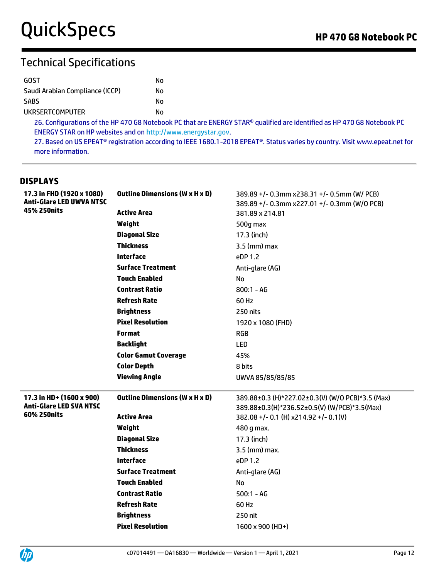| GOST                            | N٥ |
|---------------------------------|----|
| Saudi Arabian Compliance (ICCP) | N٥ |
| <b>SABS</b>                     | N٥ |
| UKRSERTCOMPUTER                 | N٥ |

26. Configurations of the HP 470 G8 Notebook PC that are ENERGY STAR® qualified are identified as HP 470 G8 Notebook PC ENERGY STAR on HP websites and o[n http://www.energystar.gov.](http://www.energystar.gov/)

27. Based on US EPEAT® registration according to IEEE 1680.1-2018 EPEAT®. Status varies by country. Visit www.epeat.net for more information.

## **DISPLAYS**

| 17.3 in FHD (1920 x 1080)<br><b>Anti-Glare LED UWVA NTSC</b> | <b>Outline Dimensions (W x H x D)</b> | 389.89 +/- 0.3mm x238.31 +/- 0.5mm (W/ PCB)<br>389.89 +/- 0.3mm x227.01 +/- 0.3mm (W/0 PCB)      |  |
|--------------------------------------------------------------|---------------------------------------|--------------------------------------------------------------------------------------------------|--|
| 45% 250nits                                                  | <b>Active Area</b>                    | 381.89 x 214.81                                                                                  |  |
|                                                              | Weight                                | 500g max                                                                                         |  |
|                                                              | <b>Diagonal Size</b>                  | 17.3 (inch)                                                                                      |  |
|                                                              | <b>Thickness</b>                      | $3.5$ (mm) max                                                                                   |  |
|                                                              | <b>Interface</b>                      | eDP 1.2                                                                                          |  |
|                                                              | <b>Surface Treatment</b>              | Anti-glare (AG)                                                                                  |  |
|                                                              | <b>Touch Enabled</b>                  | No                                                                                               |  |
|                                                              | <b>Contrast Ratio</b>                 | $800:1 - AG$                                                                                     |  |
|                                                              | <b>Refresh Rate</b>                   | 60 Hz                                                                                            |  |
|                                                              | <b>Brightness</b>                     | 250 nits                                                                                         |  |
|                                                              | <b>Pixel Resolution</b>               | 1920 x 1080 (FHD)                                                                                |  |
|                                                              | <b>Format</b>                         | <b>RGB</b>                                                                                       |  |
|                                                              | <b>Backlight</b>                      | <b>LED</b>                                                                                       |  |
|                                                              | <b>Color Gamut Coverage</b>           | 45%                                                                                              |  |
|                                                              | <b>Color Depth</b>                    | 8 bits                                                                                           |  |
|                                                              |                                       |                                                                                                  |  |
|                                                              | <b>Viewing Angle</b>                  | UWVA 85/85/85/85                                                                                 |  |
| 17.3 in HD+ (1600 x 900)<br><b>Anti-Glare LED SVA NTSC</b>   | <b>Outline Dimensions (W x H x D)</b> | 389.88±0.3 (H)*227.02±0.3(V) (W/O PCB)*3.5 (Max)<br>389.88±0.3(H)*236.52±0.5(V) (W/PCB)*3.5(Max) |  |
| 60% 250nits                                                  | <b>Active Area</b>                    | 382.08 +/- 0.1 (H) x214.92 +/- 0.1(V)                                                            |  |
|                                                              | Weight                                | 480 g max.                                                                                       |  |
|                                                              | <b>Diagonal Size</b>                  | 17.3 (inch)                                                                                      |  |
|                                                              | <b>Thickness</b>                      | $3.5$ (mm) max.                                                                                  |  |
|                                                              | <b>Interface</b>                      | eDP 1.2                                                                                          |  |
|                                                              | <b>Surface Treatment</b>              | Anti-glare (AG)                                                                                  |  |
|                                                              | <b>Touch Enabled</b>                  | No                                                                                               |  |
|                                                              | <b>Contrast Ratio</b>                 | $500:1 - AG$                                                                                     |  |
|                                                              | <b>Refresh Rate</b>                   | 60 Hz                                                                                            |  |
|                                                              | <b>Brightness</b>                     | 250 nit                                                                                          |  |
|                                                              | <b>Pixel Resolution</b>               | $1600 \times 900$ (HD+)                                                                          |  |

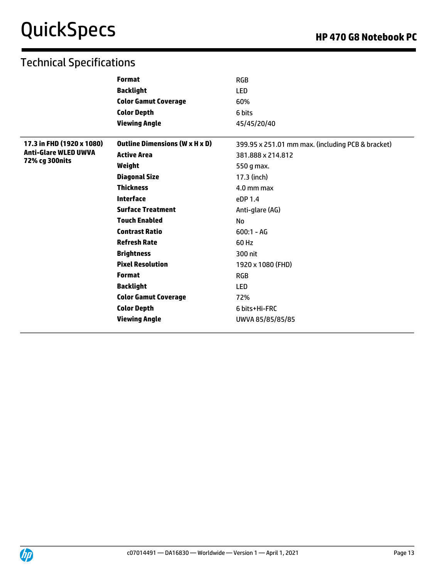|                             | <b>Format</b>                         | <b>RGB</b>                                        |
|-----------------------------|---------------------------------------|---------------------------------------------------|
|                             | <b>Backlight</b>                      | <b>LED</b>                                        |
|                             | <b>Color Gamut Coverage</b>           | 60%                                               |
|                             | <b>Color Depth</b>                    | 6 bits                                            |
|                             | <b>Viewing Angle</b>                  | 45/45/20/40                                       |
| 17.3 in FHD (1920 x 1080)   | <b>Outline Dimensions (W x H x D)</b> | 399.95 x 251.01 mm max. (including PCB & bracket) |
| <b>Anti-Glare WLED UWVA</b> | <b>Active Area</b>                    | 381.888 x 214.812                                 |
| 72% cg 300nits              | Weight                                | 550 g max.                                        |
|                             | <b>Diagonal Size</b>                  | 17.3 (inch)                                       |
|                             | <b>Thickness</b>                      | $4.0$ mm max                                      |
|                             | <b>Interface</b>                      | eDP 1.4                                           |
|                             | <b>Surface Treatment</b>              | Anti-glare (AG)                                   |
|                             | <b>Touch Enabled</b>                  | <b>No</b>                                         |
|                             | <b>Contrast Ratio</b>                 | $600:1 - AG$                                      |
|                             | <b>Refresh Rate</b>                   | 60 Hz                                             |
|                             | <b>Brightness</b>                     | 300 nit                                           |
|                             | <b>Pixel Resolution</b>               | 1920 x 1080 (FHD)                                 |
|                             | <b>Format</b>                         | <b>RGB</b>                                        |
|                             | <b>Backlight</b>                      | <b>LED</b>                                        |
|                             | <b>Color Gamut Coverage</b>           | 72%                                               |
|                             | <b>Color Depth</b>                    | 6 bits+Hi-FRC                                     |
|                             | <b>Viewing Angle</b>                  | UWVA 85/85/85/85                                  |

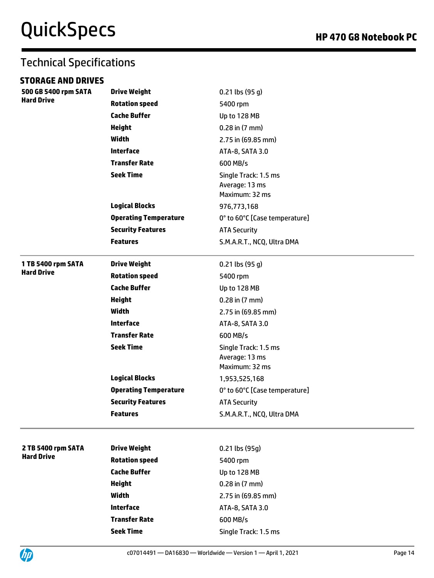# Technical Specifications

## **STORAGE AND DRIVES**

| 500 GB 5400 rpm SATA<br><b>Hard Drive</b> | <b>Drive Weight</b>          | $0.21$ lbs $(95 g)$                            |  |  |
|-------------------------------------------|------------------------------|------------------------------------------------|--|--|
|                                           | <b>Rotation speed</b>        | 5400 rpm                                       |  |  |
|                                           | <b>Cache Buffer</b>          | Up to 128 MB                                   |  |  |
|                                           | <b>Height</b>                | $0.28$ in $(7 \text{ mm})$                     |  |  |
|                                           | Width                        | 2.75 in (69.85 mm)                             |  |  |
|                                           | <b>Interface</b>             | ATA-8, SATA 3.0                                |  |  |
|                                           | <b>Transfer Rate</b>         | 600 MB/s                                       |  |  |
|                                           | <b>Seek Time</b>             | Single Track: 1.5 ms                           |  |  |
|                                           |                              | Average: 13 ms                                 |  |  |
|                                           |                              | Maximum: 32 ms                                 |  |  |
|                                           | <b>Logical Blocks</b>        | 976,773,168                                    |  |  |
|                                           | <b>Operating Temperature</b> | 0° to 60°C [Case temperature]                  |  |  |
|                                           | <b>Security Features</b>     | <b>ATA Security</b>                            |  |  |
|                                           | <b>Features</b>              | S.M.A.R.T., NCQ, Ultra DMA                     |  |  |
| 1 TB 5400 rpm SATA                        | <b>Drive Weight</b>          | $0.21$ lbs (95 g)                              |  |  |
| <b>Hard Drive</b>                         | <b>Rotation speed</b>        | 5400 rpm<br>Up to 128 MB<br>$0.28$ in $(7$ mm) |  |  |
|                                           | <b>Cache Buffer</b>          |                                                |  |  |
|                                           | <b>Height</b>                |                                                |  |  |
|                                           | <b>Width</b>                 | 2.75 in (69.85 mm)                             |  |  |
|                                           | <b>Interface</b>             | ATA-8, SATA 3.0                                |  |  |
|                                           | <b>Transfer Rate</b>         | 600 MB/s                                       |  |  |
|                                           | <b>Seek Time</b>             | Single Track: 1.5 ms                           |  |  |
|                                           |                              | Average: 13 ms                                 |  |  |
|                                           |                              | Maximum: 32 ms                                 |  |  |
|                                           | <b>Logical Blocks</b>        | 1,953,525,168                                  |  |  |
|                                           | <b>Operating Temperature</b> | 0° to 60°C [Case temperature]                  |  |  |
|                                           | <b>Security Features</b>     | <b>ATA Security</b>                            |  |  |
|                                           | <b>Features</b>              | S.M.A.R.T., NCQ, Ultra DMA                     |  |  |
|                                           |                              |                                                |  |  |
| 2 TB 5400 rpm SATA                        | <b>Drive Weight</b>          | 0.21 lbs (95g)                                 |  |  |
| <b>Hard Drive</b>                         | <b>Rotation speed</b>        | 5400 rpm                                       |  |  |
|                                           | <b>Cache Buffer</b>          | Up to 128 MB                                   |  |  |
|                                           | <b>Height</b>                | 0.28 in (7 mm)                                 |  |  |
|                                           | <b>Width</b>                 | 2.75 in (69.85 mm)                             |  |  |
|                                           | <b>Interface</b>             | ATA-8, SATA 3.0                                |  |  |
|                                           | <b>Transfer Rate</b>         | 600 MB/s                                       |  |  |
|                                           | <b>Seek Time</b>             | Single Track: 1.5 ms                           |  |  |
|                                           |                              |                                                |  |  |

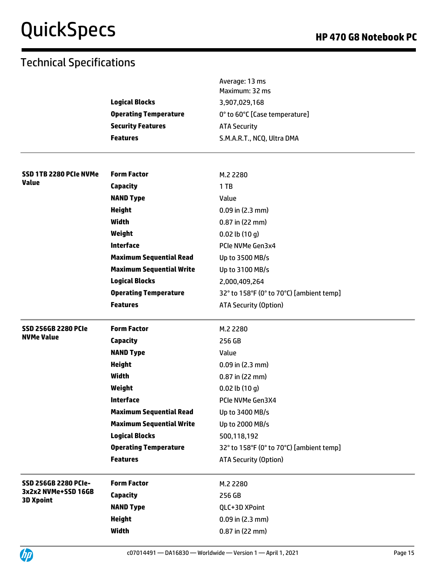|                                         |                                 | Average: 13 ms<br>Maximum: 32 ms         |
|-----------------------------------------|---------------------------------|------------------------------------------|
|                                         | <b>Logical Blocks</b>           | 3,907,029,168                            |
|                                         | <b>Operating Temperature</b>    | 0° to 60°C [Case temperature]            |
|                                         | <b>Security Features</b>        | <b>ATA Security</b>                      |
|                                         | <b>Features</b>                 | S.M.A.R.T., NCQ, Ultra DMA               |
| SSD 1TB 2280 PCIe NVMe                  | <b>Form Factor</b>              | M.2 2280                                 |
| Value                                   | Capacity                        | 1TB                                      |
|                                         | <b>NAND Type</b>                | Value                                    |
|                                         | <b>Height</b>                   | $0.09$ in (2.3 mm)                       |
|                                         | <b>Width</b>                    | 0.87 in (22 mm)                          |
|                                         | Weight                          | $0.02$ lb $(10 g)$                       |
|                                         | <b>Interface</b>                | PCIe NVMe Gen3x4                         |
|                                         | <b>Maximum Sequential Read</b>  | Up to 3500 MB/s                          |
|                                         | <b>Maximum Sequential Write</b> | Up to 3100 MB/s                          |
|                                         | <b>Logical Blocks</b>           | 2,000,409,264                            |
|                                         | <b>Operating Temperature</b>    | 32° to 158°F (0° to 70°C) [ambient temp] |
|                                         | <b>Features</b>                 | <b>ATA Security (Option)</b>             |
| <b>SSD 256GB 2280 PCIe</b>              | <b>Form Factor</b>              | M.2 2280                                 |
| <b>NVMe Value</b>                       | Capacity                        | 256 GB                                   |
|                                         | <b>NAND Type</b>                | Value                                    |
|                                         | <b>Height</b>                   | 0.09 in (2.3 mm)                         |
|                                         | Width                           | 0.87 in (22 mm)                          |
|                                         | Weight                          | $0.02$ lb $(10 g)$                       |
|                                         | <b>Interface</b>                | PCIe NVMe Gen3X4                         |
|                                         | <b>Maximum Sequential Read</b>  | Up to 3400 MB/s                          |
|                                         | <b>Maximum Sequential Write</b> | Up to 2000 MB/s                          |
|                                         | <b>Logical Blocks</b>           | 500,118,192                              |
|                                         | <b>Operating Temperature</b>    | 32° to 158°F (0° to 70°C) [ambient temp] |
|                                         | <b>Features</b>                 | <b>ATA Security (Option)</b>             |
| <b>SSD 256GB 2280 PCIe-</b>             | <b>Form Factor</b>              | M.2 2280                                 |
| 3x2x2 NVMe+SSD 16GB<br><b>3D Xpoint</b> | Capacity                        | 256 GB                                   |
|                                         | <b>NAND Type</b>                | QLC+3D XPoint                            |
|                                         | <b>Height</b>                   | $0.09$ in $(2.3$ mm)                     |
|                                         |                                 |                                          |

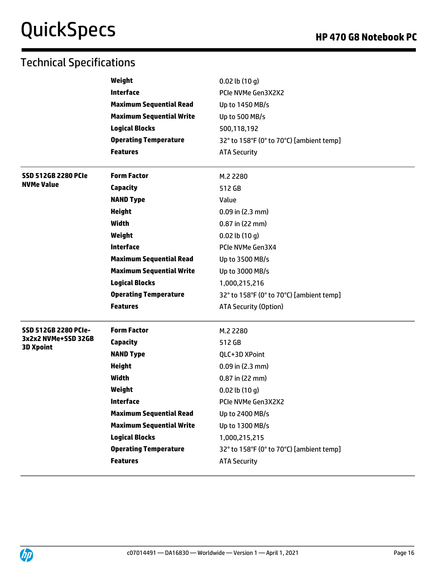|                                         | Weight                          | $0.02$ lb $(10 g)$                       |
|-----------------------------------------|---------------------------------|------------------------------------------|
|                                         | <b>Interface</b>                | PCIe NVMe Gen3X2X2                       |
|                                         | <b>Maximum Sequential Read</b>  | Up to 1450 MB/s                          |
|                                         | <b>Maximum Sequential Write</b> | Up to 500 MB/s                           |
|                                         | <b>Logical Blocks</b>           | 500,118,192                              |
|                                         | <b>Operating Temperature</b>    | 32° to 158°F (0° to 70°C) [ambient temp] |
|                                         | <b>Features</b>                 | <b>ATA Security</b>                      |
| <b>SSD 512GB 2280 PCIe</b>              | <b>Form Factor</b>              | M.2 2280                                 |
| <b>NVMe Value</b>                       | <b>Capacity</b>                 | 512 GB                                   |
|                                         | <b>NAND Type</b>                | Value                                    |
|                                         | <b>Height</b>                   | $0.09$ in (2.3 mm)                       |
|                                         | <b>Width</b>                    | $0.87$ in (22 mm)                        |
|                                         | Weight                          | $0.02$ lb $(10q)$                        |
|                                         | <b>Interface</b>                | PCIe NVMe Gen3X4                         |
|                                         | <b>Maximum Sequential Read</b>  | Up to 3500 MB/s                          |
|                                         | <b>Maximum Sequential Write</b> | Up to 3000 MB/s                          |
|                                         | <b>Logical Blocks</b>           | 1,000,215,216                            |
|                                         | <b>Operating Temperature</b>    | 32° to 158°F (0° to 70°C) [ambient temp] |
|                                         | <b>Features</b>                 | <b>ATA Security (Option)</b>             |
| SSD 512GB 2280 PCIe-                    | <b>Form Factor</b>              | M.2 2280                                 |
| 3x2x2 NVMe+SSD 32GB<br><b>3D Xpoint</b> | Capacity                        | 512 GB                                   |
|                                         | <b>NAND Type</b>                | QLC+3D XPoint                            |
|                                         | <b>Height</b>                   | $0.09$ in (2.3 mm)                       |
|                                         | Width                           | 0.87 in (22 mm)                          |
|                                         | Weight                          | $0.02$ lb $(10q)$                        |
|                                         | <b>Interface</b>                | PCIe NVMe Gen3X2X2                       |
|                                         | <b>Maximum Sequential Read</b>  | Up to 2400 MB/s                          |
|                                         | <b>Maximum Sequential Write</b> | Up to 1300 MB/s                          |
|                                         | <b>Logical Blocks</b>           | 1,000,215,215                            |
|                                         | <b>Operating Temperature</b>    | 32° to 158°F (0° to 70°C) [ambient temp] |
|                                         | <b>Features</b>                 | <b>ATA Security</b>                      |

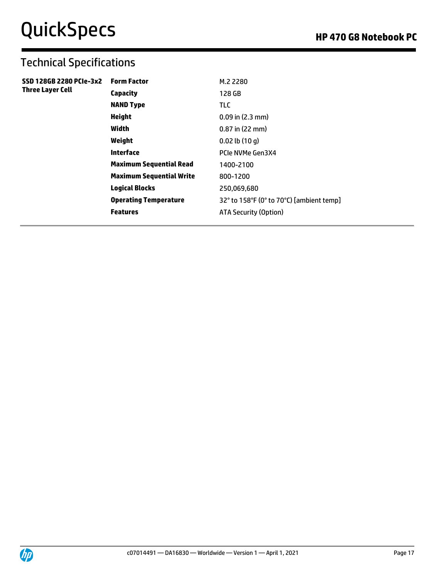| Capacity<br>128 GB<br><b>NAND Type</b><br><b>TLC</b>                     | <b>Form Factor</b> | SSD 128GB 2280 PCIe-3x2<br><b>Three Layer Cell</b> |
|--------------------------------------------------------------------------|--------------------|----------------------------------------------------|
|                                                                          |                    |                                                    |
|                                                                          |                    |                                                    |
| <b>Height</b><br>$0.09$ in (2.3 mm)                                      |                    |                                                    |
| Width<br>$0.87$ in (22 mm)                                               |                    |                                                    |
| Weight<br>$0.02$ lb $(10q)$                                              |                    |                                                    |
| Interface<br>PCIe NVMe Gen3X4                                            |                    |                                                    |
| <b>Maximum Sequential Read</b><br>1400-2100                              |                    |                                                    |
| <b>Maximum Sequential Write</b><br>800-1200                              |                    |                                                    |
| <b>Logical Blocks</b><br>250,069,680                                     |                    |                                                    |
| 32° to 158°F (0° to 70°C) [ambient temp]<br><b>Operating Temperature</b> |                    |                                                    |
| <b>Features</b><br><b>ATA Security (Option)</b>                          |                    |                                                    |

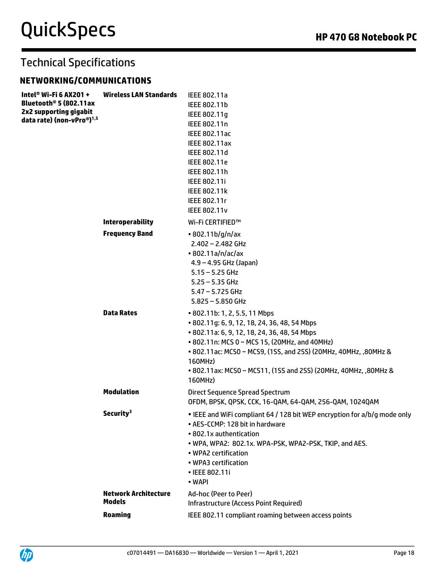## **NETWORKING/COMMUNICATIONS**

| Intel® Wi-Fi 6 AX201 +<br>Bluetooth® 5 (802.11ax<br>2x2 supporting gigabit<br>data rate) (non-vPro®) <sup>1,5</sup> | <b>Wireless LAN Standards</b>                | IEEE 802.11a<br>IEEE 802.11b<br>IEEE 802.11g<br>IEEE 802.11n<br>IEEE 802.11ac<br><b>IEEE 802.11ax</b><br>IEEE 802.11d<br>IEEE 802.11e<br>IEEE 802.11h                                                                                                                         |
|---------------------------------------------------------------------------------------------------------------------|----------------------------------------------|-------------------------------------------------------------------------------------------------------------------------------------------------------------------------------------------------------------------------------------------------------------------------------|
|                                                                                                                     |                                              | IEEE 802.11i<br>IEEE 802.11k<br>IEEE 802.11r<br><b>IEEE 802.11v</b>                                                                                                                                                                                                           |
|                                                                                                                     | <b>Interoperability</b>                      | Wi-Fi CERTIFIED™                                                                                                                                                                                                                                                              |
|                                                                                                                     | <b>Frequency Band</b><br><b>Data Rates</b>   | • 802.11b/g/n/ax<br>$2.402 - 2.482$ GHz<br>$\cdot$ 802.11a/n/ac/ax<br>$4.9 - 4.95$ GHz (Japan)<br>$5.15 - 5.25$ GHz<br>$5.25 - 5.35$ GHz<br>$5.47 - 5.725$ GHz<br>$5.825 - 5.850$ GHz<br>• 802.11b: 1, 2, 5.5, 11 Mbps<br>• 802.11g: 6, 9, 12, 18, 24, 36, 48, 54 Mbps        |
|                                                                                                                     |                                              | • 802.11a: 6, 9, 12, 18, 24, 36, 48, 54 Mbps<br>• 802.11n: MCS 0 ~ MCS 15, (20MHz, and 40MHz)<br>• 802.11ac: MCS0 ~ MCS9, (1SS, and 2SS) (20MHz, 40MHz, ,80MHz &<br>160MHz)<br>• 802.11ax: MCS0 ~ MCS11, (1SS and 2SS) (20MHz, 40MHz, ,80MHz &<br>160MHz)                     |
|                                                                                                                     | <b>Modulation</b>                            | <b>Direct Sequence Spread Spectrum</b><br>OFDM, BPSK, QPSK, CCK, 16-QAM, 64-QAM, 256-QAM, 1024QAM                                                                                                                                                                             |
|                                                                                                                     | Security <sup>3</sup>                        | • IEEE and WiFi compliant 64 / 128 bit WEP encryption for a/b/g mode only<br>• AES-CCMP: 128 bit in hardware<br>• 802.1x authentication<br>. WPA, WPA2: 802.1x. WPA-PSK, WPA2-PSK, TKIP, and AES.<br>• WPA2 certification<br>• WPA3 certification<br>• IEEE 802.11i<br>• WAPI |
|                                                                                                                     | <b>Network Architecture</b><br><b>Models</b> | Ad-hoc (Peer to Peer)<br>Infrastructure (Access Point Required)                                                                                                                                                                                                               |
|                                                                                                                     | <b>Roaming</b>                               | IEEE 802.11 compliant roaming between access points                                                                                                                                                                                                                           |

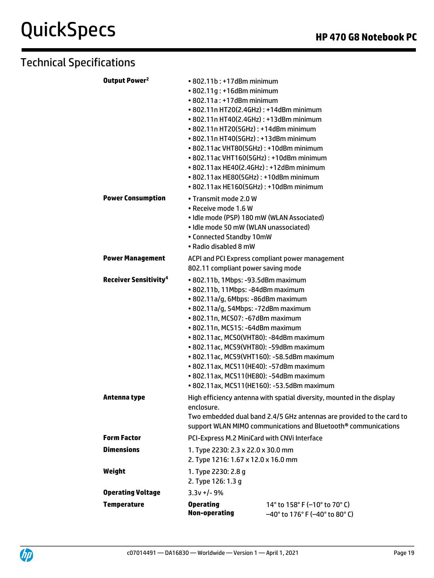| Output Power <sup>2</sup>               | $\cdot$ 802.11b: +17dBm minimum                                         |                                                                            |  |
|-----------------------------------------|-------------------------------------------------------------------------|----------------------------------------------------------------------------|--|
|                                         | • 802.11g: +16dBm minimum                                               |                                                                            |  |
|                                         | $\cdot$ 802.11a: +17dBm minimum                                         |                                                                            |  |
|                                         |                                                                         | • 802.11n HT20(2.4GHz): +14dBm minimum                                     |  |
|                                         |                                                                         | • 802.11n HT40(2.4GHz): +13dBm minimum                                     |  |
|                                         | • 802.11n HT20(5GHz): +14dBm minimum                                    |                                                                            |  |
|                                         | • 802.11n HT40(5GHz): +13dBm minimum                                    |                                                                            |  |
|                                         |                                                                         | • 802.11ac VHT80(5GHz): +10dBm minimum                                     |  |
|                                         |                                                                         | • 802.11ac VHT160(5GHz): +10dBm minimum                                    |  |
|                                         |                                                                         | • 802.11ax HE40(2.4GHz): +12dBm minimum                                    |  |
|                                         |                                                                         | • 802.11ax HE80(5GHz): +10dBm minimum                                      |  |
|                                         |                                                                         | • 802.11ax HE160(5GHz): +10dBm minimum                                     |  |
| <b>Power Consumption</b>                | • Transmit mode 2.0 W                                                   |                                                                            |  |
|                                         | • Receive mode 1.6 W                                                    |                                                                            |  |
|                                         |                                                                         | · Idle mode (PSP) 180 mW (WLAN Associated)                                 |  |
|                                         | · Idle mode 50 mW (WLAN unassociated)                                   |                                                                            |  |
|                                         | • Connected Standby 10mW                                                |                                                                            |  |
|                                         | • Radio disabled 8 mW                                                   |                                                                            |  |
| <b>Power Management</b>                 | ACPI and PCI Express compliant power management                         |                                                                            |  |
|                                         | 802.11 compliant power saving mode                                      |                                                                            |  |
|                                         |                                                                         |                                                                            |  |
| <b>Receiver Sensitivity<sup>4</sup></b> | • 802.11b, 1Mbps: -93.5dBm maximum<br>· 802.11b, 11Mbps: -84dBm maximum |                                                                            |  |
|                                         |                                                                         |                                                                            |  |
|                                         | • 802.11a/g, 6Mbps: -86dBm maximum                                      |                                                                            |  |
|                                         | · 802.11a/g, 54Mbps: -72dBm maximum                                     |                                                                            |  |
|                                         | • 802.11n, MCS07: -67dBm maximum                                        |                                                                            |  |
|                                         | • 802.11n, MCS15: -64dBm maximum                                        | • 802.11ac, MCS0(VHT80): -84dBm maximum                                    |  |
|                                         |                                                                         | • 802.11ac, MCS9(VHT80): -59dBm maximum                                    |  |
|                                         |                                                                         | • 802.11ac, MCS9(VHT160): -58.5dBm maximum                                 |  |
|                                         |                                                                         | • 802.11ax, MCS11(HE40): -57dBm maximum                                    |  |
|                                         |                                                                         | • 802.11ax, MCS11(HE80): -54dBm maximum                                    |  |
|                                         |                                                                         | • 802.11ax, MCS11(HE160): -53.5dBm maximum                                 |  |
|                                         |                                                                         |                                                                            |  |
| Antenna type                            | High efficiency antenna with spatial diversity, mounted in the display  |                                                                            |  |
|                                         | enclosure.                                                              |                                                                            |  |
|                                         |                                                                         | Two embedded dual band 2.4/5 GHz antennas are provided to the card to      |  |
|                                         |                                                                         | support WLAN MIMO communications and Bluetooth <sup>®</sup> communications |  |
| <b>Form Factor</b>                      |                                                                         | PCI-Express M.2 MiniCard with CNVi Interface                               |  |
| <b>Dimensions</b>                       | 1. Type 2230: 2.3 x 22.0 x 30.0 mm                                      |                                                                            |  |
|                                         | 2. Type 1216: 1.67 x 12.0 x 16.0 mm                                     |                                                                            |  |
| Weight                                  | 1. Type 2230: 2.8 g                                                     |                                                                            |  |
|                                         | 2. Type 126: 1.3 g                                                      |                                                                            |  |
| <b>Operating Voltage</b>                | $3.3v + 1 - 9%$                                                         |                                                                            |  |
|                                         |                                                                         |                                                                            |  |
| <b>Temperature</b>                      | <b>Operating</b><br><b>Non-operating</b>                                | 14° to 158° F (-10° to 70° C)                                              |  |
|                                         |                                                                         | -40° to 176° F (-40° to 80° C)                                             |  |

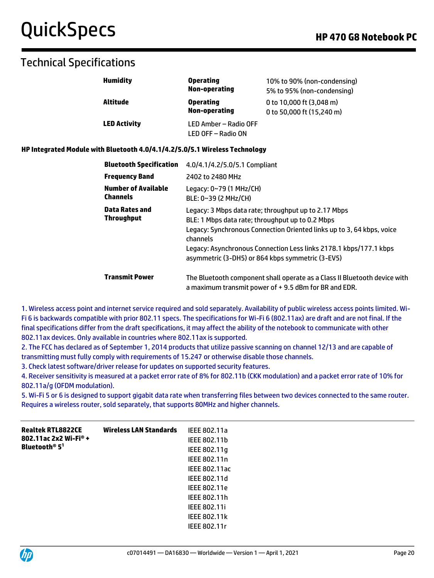## Technical Specifications

| <b>Humidity</b>     | <b>Operating</b><br><b>Non-operating</b>    | 10% to 90% (non-condensing)<br>5% to 95% (non-condensing) |
|---------------------|---------------------------------------------|-----------------------------------------------------------|
| Altitude            | <b>Operating</b><br>Non-operating           | 0 to 10,000 ft (3,048 m)<br>0 to 50,000 ft (15,240 m)     |
| <b>LED Activity</b> | LED Amber - Radio OFF<br>LED OFF - Radio ON |                                                           |

### **HP Integrated Module with Bluetooth 4.0/4.1/4.2/5.0/5.1 Wireless Technology**

| <b>Bluetooth Specification</b>                | 4.0/4.1/4.2/5.0/5.1 Compliant                                                                                                                                                                                                                                                                                          |
|-----------------------------------------------|------------------------------------------------------------------------------------------------------------------------------------------------------------------------------------------------------------------------------------------------------------------------------------------------------------------------|
| <b>Frequency Band</b>                         | 2402 to 2480 MHz                                                                                                                                                                                                                                                                                                       |
| <b>Number of Available</b><br><b>Channels</b> | Legacy: 0~79 (1 MHz/CH)<br>BLE: 0~39 (2 MHz/CH)                                                                                                                                                                                                                                                                        |
| Data Rates and<br><b>Throughput</b>           | Legacy: 3 Mbps data rate; throughput up to 2.17 Mbps<br>BLE: 1 Mbps data rate; throughput up to 0.2 Mbps<br>Legacy: Synchronous Connection Oriented links up to 3, 64 kbps, voice<br>channels<br>Legacy: Asynchronous Connection Less links 2178.1 kbps/177.1 kbps<br>asymmetric (3-DH5) or 864 kbps symmetric (3-EV5) |
| <b>Transmit Power</b>                         | The Bluetooth component shall operate as a Class II Bluetooth device with<br>a maximum transmit power of $+$ 9.5 dBm for BR and EDR.                                                                                                                                                                                   |

1. Wireless access point and internet service required and sold separately. Availability of public wireless access points limited. Wi-Fi 6 is backwards compatible with prior 802.11 specs. The specifications for Wi-Fi 6 (802.11ax) are draft and are not final. If the final specifications differ from the draft specifications, it may affect the ability of the notebook to communicate with other 802.11ax devices. Only available in countries where 802.11ax is supported.

2. The FCC has declared as of September 1, 2014 products that utilize passive scanning on channel 12/13 and are capable of transmitting must fully comply with requirements of 15.247 or otherwise disable those channels.

3. Check latest software/driver release for updates on supported security features.

4. Receiver sensitivity is measured at a packet error rate of 8% for 802.11b (CKK modulation) and a packet error rate of 10% for 802.11a/g (OFDM modulation).

5. Wi-Fi 5 or 6 is designed to support gigabit data rate when transferring files between two devices connected to the same router. Requires a wireless router, sold separately, that supports 80MHz and higher channels.

| <b>Realtek RTL8822CE</b><br>802.11ac 2x2 Wi-Fi <sup>®</sup> +<br>Bluetooth <sup>®</sup> 5 <sup>1</sup> | <b>Wireless LAN Standards</b> | IEEE 802.11a<br>IEEE 802.11b<br>IEEE 802.11g<br>IEEE 802.11n<br><b>IEEE 802.11ac</b><br>IEEE 802.11d<br>IEEE 802.11e<br>IEEE 802.11h<br><b>IEEE 802.11i</b> |
|--------------------------------------------------------------------------------------------------------|-------------------------------|-------------------------------------------------------------------------------------------------------------------------------------------------------------|
|                                                                                                        |                               |                                                                                                                                                             |
|                                                                                                        |                               | <b>IEEE 802.11k</b>                                                                                                                                         |
|                                                                                                        |                               | IEEE 802.11r                                                                                                                                                |

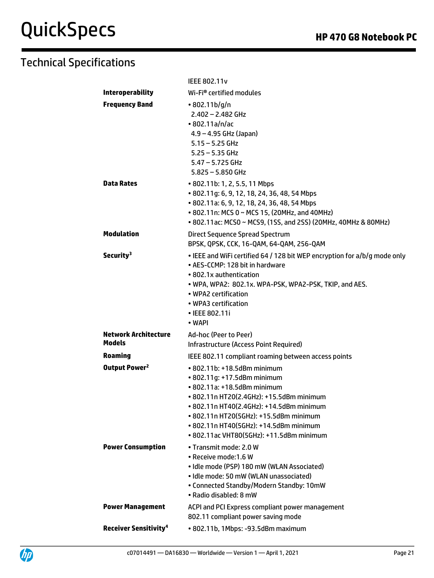|                                              | <b>IEEE 802.11v</b>                                                                                                                                                                                                                                                                                               |
|----------------------------------------------|-------------------------------------------------------------------------------------------------------------------------------------------------------------------------------------------------------------------------------------------------------------------------------------------------------------------|
| <b>Interoperability</b>                      | Wi-Fi® certified modules                                                                                                                                                                                                                                                                                          |
| <b>Frequency Band</b>                        | $\cdot$ 802.11b/g/n<br>$2.402 - 2.482$ GHz<br>•802.11a/n/ac<br>$4.9 - 4.95$ GHz (Japan)<br>$5.15 - 5.25$ GHz<br>$5.25 - 5.35$ GHz<br>$5.47 - 5.725$ GHz<br>$5.825 - 5.850$ GHz                                                                                                                                    |
| <b>Data Rates</b>                            | • 802.11b: 1, 2, 5.5, 11 Mbps<br>• 802.11g: 6, 9, 12, 18, 24, 36, 48, 54 Mbps<br>• 802.11a: 6, 9, 12, 18, 24, 36, 48, 54 Mbps<br>• 802.11n: MCS 0 ~ MCS 15, (20MHz, and 40MHz)<br>• 802.11ac: MCS0 ~ MCS9, (1SS, and 2SS) (20MHz, 40MHz & 80MHz)                                                                  |
| <b>Modulation</b>                            | Direct Sequence Spread Spectrum<br>BPSK, QPSK, CCK, 16-QAM, 64-QAM, 256-QAM                                                                                                                                                                                                                                       |
| Security <sup>3</sup>                        | . IEEE and WiFi certified 64 / 128 bit WEP encryption for a/b/g mode only<br>• AES-CCMP: 128 bit in hardware<br>• 802.1x authentication<br>. WPA, WPA2: 802.1x. WPA-PSK, WPA2-PSK, TKIP, and AES.<br>• WPA2 certification<br>• WPA3 certification<br>• IEEE 802.11i<br>• WAPI                                     |
| <b>Network Architecture</b><br><b>Models</b> | Ad-hoc (Peer to Peer)<br>Infrastructure (Access Point Required)                                                                                                                                                                                                                                                   |
| <b>Roaming</b>                               | IEEE 802.11 compliant roaming between access points                                                                                                                                                                                                                                                               |
| Output Power <sup>2</sup>                    | • 802.11b: +18.5dBm minimum<br>• 802.11g: +17.5dBm minimum<br>• 802.11a: +18.5dBm minimum<br>• 802.11n HT20(2.4GHz): +15.5dBm minimum<br>· 802.11n HT40(2.4GHz): +14.5dBm minimum<br>· 802.11n HT20(5GHz): +15.5dBm minimum<br>• 802.11n HT40(5GHz): +14.5dBm minimum<br>• 802.11ac VHT80(5GHz): +11.5dBm minimum |
| <b>Power Consumption</b>                     | • Transmit mode: 2.0 W<br>• Receive mode: 1.6 W<br>· Idle mode (PSP) 180 mW (WLAN Associated)<br>· Idle mode: 50 mW (WLAN unassociated)<br>• Connected Standby/Modern Standby: 10mW<br>• Radio disabled: 8 mW                                                                                                     |
| <b>Power Management</b>                      | ACPI and PCI Express compliant power management<br>802.11 compliant power saving mode                                                                                                                                                                                                                             |
| <b>Receiver Sensitivity<sup>4</sup></b>      | • 802.11b, 1Mbps: -93.5dBm maximum                                                                                                                                                                                                                                                                                |

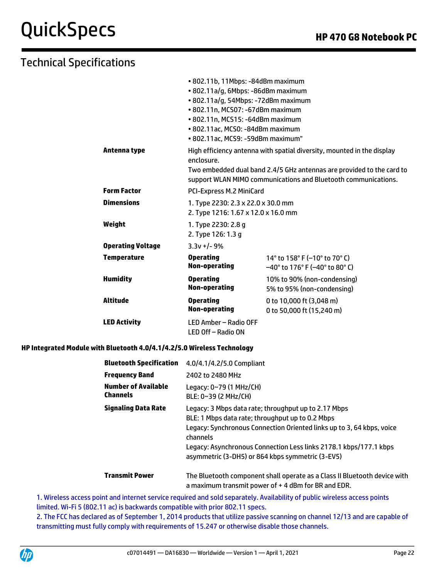# Technical Specifications

|                          | • 802.11b, 11Mbps: -84dBm maximum                                         |                                                                                                                                                 |  |
|--------------------------|---------------------------------------------------------------------------|-------------------------------------------------------------------------------------------------------------------------------------------------|--|
|                          | · 802.11a/g, 6Mbps: -86dBm maximum                                        |                                                                                                                                                 |  |
|                          | · 802.11a/g, 54Mbps: -72dBm maximum                                       |                                                                                                                                                 |  |
|                          | • 802.11n, MCS07: -67dBm maximum                                          |                                                                                                                                                 |  |
|                          | • 802.11n, MCS15: -64dBm maximum                                          |                                                                                                                                                 |  |
|                          | • 802.11ac, MCS0: -84dBm maximum                                          |                                                                                                                                                 |  |
|                          | • 802.11ac, MCS9: -59dBm maximum"                                         |                                                                                                                                                 |  |
| Antenna type             | enclosure.                                                                | High efficiency antenna with spatial diversity, mounted in the display<br>Two embedded dual band 2.4/5 GHz antennas are provided to the card to |  |
|                          |                                                                           | support WLAN MIMO communications and Bluetooth communications.                                                                                  |  |
| Form Factor              | PCI-Express M.2 MiniCard                                                  |                                                                                                                                                 |  |
| Dimensions               | 1. Type 2230: 2.3 x 22.0 x 30.0 mm<br>2. Type 1216: 1.67 x 12.0 x 16.0 mm |                                                                                                                                                 |  |
| Weight                   | 1. Type 2230: 2.8 g<br>2. Type 126: 1.3 g                                 |                                                                                                                                                 |  |
| <b>Operating Voltage</b> | $3.3v + 1 - 9%$                                                           |                                                                                                                                                 |  |
| Temperature              | <b>Operating</b><br>Non-operating                                         | 14° to 158° F (-10° to 70° C)<br>$-40^{\circ}$ to 176° F (-40° to 80° C)                                                                        |  |
| <b>Humidity</b>          | <b>Operating</b><br>Non-operating                                         | 10% to 90% (non-condensing)<br>5% to 95% (non-condensing)                                                                                       |  |
| Altitude                 | <b>Operating</b><br>Non-operating                                         | 0 to 10,000 ft (3,048 m)<br>0 to 50,000 ft (15,240 m)                                                                                           |  |
| <b>LED Activity</b>      | LED Amber - Radio OFF<br>LED Off - Radio ON                               |                                                                                                                                                 |  |

### **HP Integrated Module with Bluetooth 4.0/4.1/4.2/5.0 Wireless Technology**

| <b>Bluetooth Specification</b>                | 4.0/4.1/4.2/5.0 Compliant                                                                                                                                                                                                                                                                                              |
|-----------------------------------------------|------------------------------------------------------------------------------------------------------------------------------------------------------------------------------------------------------------------------------------------------------------------------------------------------------------------------|
| <b>Frequency Band</b>                         | 2402 to 2480 MHz                                                                                                                                                                                                                                                                                                       |
| <b>Number of Available</b><br><b>Channels</b> | Legacy: 0~79 (1 MHz/CH)<br>BLE: 0~39 (2 MHz/CH)                                                                                                                                                                                                                                                                        |
| <b>Signaling Data Rate</b>                    | Legacy: 3 Mbps data rate; throughput up to 2.17 Mbps<br>BLE: 1 Mbps data rate; throughput up to 0.2 Mbps<br>Legacy: Synchronous Connection Oriented links up to 3, 64 kbps, voice<br>channels<br>Legacy: Asynchronous Connection Less links 2178.1 kbps/177.1 kbps<br>asymmetric (3-DH5) or 864 kbps symmetric (3-EV5) |
| <b>Transmit Power</b>                         | The Bluetooth component shall operate as a Class II Bluetooth device with<br>a maximum transmit power of $+$ 4 dBm for BR and EDR.                                                                                                                                                                                     |

1. Wireless access point and internet service required and sold separately. Availability of public wireless access points limited. Wi-Fi 5 (802.11 ac) is backwards compatible with prior 802.11 specs.

2. The FCC has declared as of September 1, 2014 products that utilize passive scanning on channel 12/13 and are capable of transmitting must fully comply with requirements of 15.247 or otherwise disable those channels.

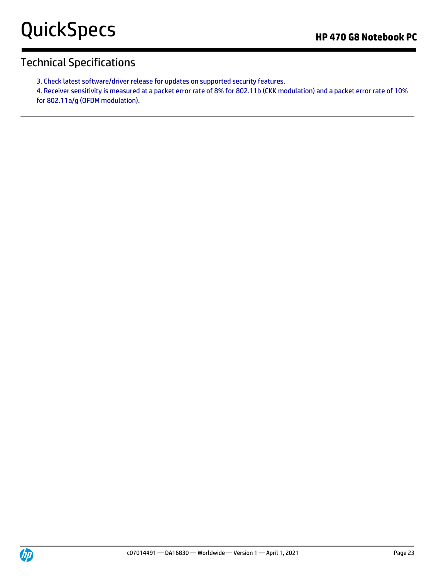3. Check latest software/driver release for updates on supported security features.

4. Receiver sensitivity is measured at a packet error rate of 8% for 802.11b (CKK modulation) and a packet error rate of 10% for 802.11a/g (OFDM modulation).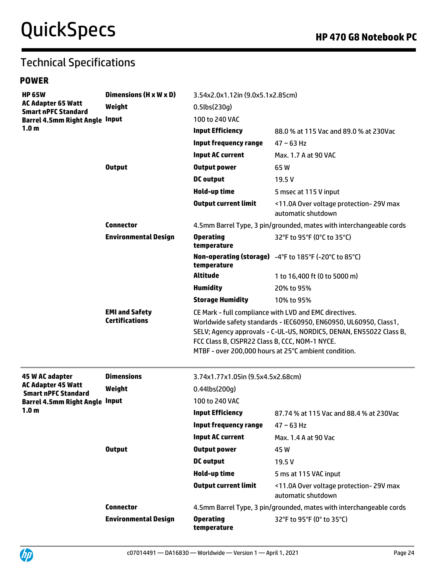# Technical Specifications

## **POWER**

| <b>HP 65W</b>                                                                                    | Dimensions (H x W x D)                         | 3.54x2.0x1.12in (9.0x5.1x2.85cm)                                                                                                                                                                                                                                                                           |                                                              |  |
|--------------------------------------------------------------------------------------------------|------------------------------------------------|------------------------------------------------------------------------------------------------------------------------------------------------------------------------------------------------------------------------------------------------------------------------------------------------------------|--------------------------------------------------------------|--|
| <b>AC Adapter 65 Watt</b><br><b>Smart nPFC Standard</b><br><b>Barrel 4.5mm Right Angle Input</b> | Weight                                         | $0.5$ lbs $(230g)$                                                                                                                                                                                                                                                                                         |                                                              |  |
|                                                                                                  |                                                | 100 to 240 VAC                                                                                                                                                                                                                                                                                             |                                                              |  |
| 1.0 <sub>m</sub>                                                                                 |                                                | <b>Input Efficiency</b>                                                                                                                                                                                                                                                                                    | 88.0 % at 115 Vac and 89.0 % at 230Vac                       |  |
|                                                                                                  |                                                | <b>Input frequency range</b>                                                                                                                                                                                                                                                                               | $47 \sim 63$ Hz                                              |  |
|                                                                                                  |                                                | <b>Input AC current</b>                                                                                                                                                                                                                                                                                    | Max. 1.7 A at 90 VAC                                         |  |
|                                                                                                  | <b>Output</b>                                  | <b>Output power</b>                                                                                                                                                                                                                                                                                        | 65W                                                          |  |
|                                                                                                  |                                                | <b>DC</b> output                                                                                                                                                                                                                                                                                           | 19.5 V                                                       |  |
|                                                                                                  |                                                | Hold-up time                                                                                                                                                                                                                                                                                               | 5 msec at 115 V input                                        |  |
|                                                                                                  |                                                | <b>Output current limit</b>                                                                                                                                                                                                                                                                                | <11.0A Over voltage protection-29V max<br>automatic shutdown |  |
|                                                                                                  | <b>Connector</b>                               | 4.5mm Barrel Type, 3 pin/grounded, mates with interchangeable cords                                                                                                                                                                                                                                        |                                                              |  |
|                                                                                                  | <b>Environmental Design</b>                    | <b>Operating</b><br>temperature                                                                                                                                                                                                                                                                            | 32°F to 95°F (0°C to 35°C)                                   |  |
|                                                                                                  |                                                | temperature                                                                                                                                                                                                                                                                                                | Non-operating (storage) -4°F to 185°F (-20°C to 85°C)        |  |
|                                                                                                  |                                                | <b>Altitude</b>                                                                                                                                                                                                                                                                                            | 1 to 16,400 ft (0 to 5000 m)                                 |  |
|                                                                                                  |                                                | <b>Humidity</b>                                                                                                                                                                                                                                                                                            | 20% to 95%                                                   |  |
|                                                                                                  |                                                | <b>Storage Humidity</b>                                                                                                                                                                                                                                                                                    | 10% to 95%                                                   |  |
|                                                                                                  | <b>EMI and Safety</b><br><b>Certifications</b> | CE Mark - full compliance with LVD and EMC directives.<br>Worldwide safety standards - IEC60950, EN60950, UL60950, Class1,<br>SELV; Agency approvals - C-UL-US, NORDICS, DENAN, EN55022 Class B,<br>FCC Class B, CISPR22 Class B, CCC, NOM-1 NYCE.<br>MTBF - over 200,000 hours at 25°C ambient condition. |                                                              |  |
| 45 W AC adapter                                                                                  | <b>Dimensions</b>                              | 3.74x1.77x1.05in (9.5x4.5x2.68cm)                                                                                                                                                                                                                                                                          |                                                              |  |
| <b>AC Adapter 45 Watt</b><br><b>Smart nPFC Standard</b>                                          | Weight                                         | $0.44$ lbs $(200q)$                                                                                                                                                                                                                                                                                        |                                                              |  |
| <b>Barrel 4.5mm Right Angle Input</b>                                                            |                                                | 100 to 240 VAC                                                                                                                                                                                                                                                                                             |                                                              |  |
| 1.0 <sub>m</sub>                                                                                 |                                                | <b>Input Efficiency</b>                                                                                                                                                                                                                                                                                    | 87.74 % at 115 Vac and 88.4 % at 230Vac                      |  |
|                                                                                                  |                                                | <b>Input frequency range</b>                                                                                                                                                                                                                                                                               | $47 \sim 63$ Hz                                              |  |
|                                                                                                  |                                                | <b>Input AC current</b>                                                                                                                                                                                                                                                                                    | Max. 1.4 A at 90 Vac                                         |  |
|                                                                                                  | <b>Output</b>                                  | <b>Output power</b>                                                                                                                                                                                                                                                                                        | 45 W                                                         |  |
|                                                                                                  |                                                | <b>DC</b> output                                                                                                                                                                                                                                                                                           | 19.5 V                                                       |  |
|                                                                                                  |                                                | Hold-up time                                                                                                                                                                                                                                                                                               | 5 ms at 115 VAC input                                        |  |
|                                                                                                  |                                                | <b>Output current limit</b>                                                                                                                                                                                                                                                                                | <11.0A Over voltage protection-29V max<br>automatic shutdown |  |
|                                                                                                  | <b>Connector</b>                               | 4.5mm Barrel Type, 3 pin/grounded, mates with interchangeable cords                                                                                                                                                                                                                                        |                                                              |  |
|                                                                                                  | <b>Environmental Design</b>                    | <b>Operating</b><br>temperature                                                                                                                                                                                                                                                                            | 32°F to 95°F (0° to 35°C)                                    |  |

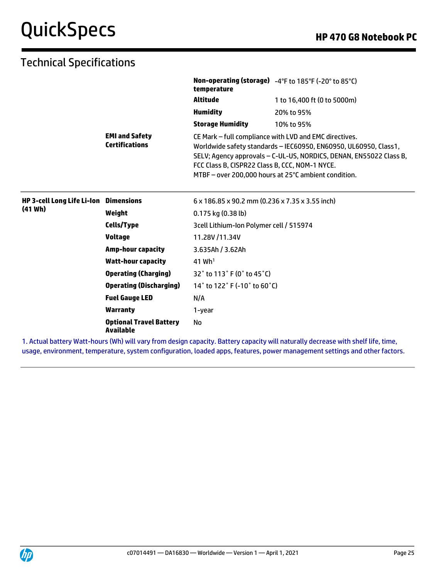| Altitude<br>1 to 16,400 ft (0 to 5000m)<br><b>Humidity</b><br>20% to 95%<br><b>Storage Humidity</b><br>10% to 95%<br><b>EMI and Safety</b><br>CE Mark - full compliance with LVD and EMC directives.<br><b>Certifications</b><br>Worldwide safety standards - IEC60950, EN60950, UL60950, Class1,<br>SELV; Agency approvals - C-UL-US, NORDICS, DENAN, EN55022 Class B,<br>FCC Class B, CISPR22 Class B, CCC, NOM-1 NYCE.<br>MTBF - over 200,000 hours at 25°C ambient condition.<br>HP 3-cell Long Life Li-Ion Dimensions<br>6 x 186.85 x 90.2 mm (0.236 x 7.35 x 3.55 inch)<br>(41 Wh)<br>Weight<br>$0.175$ kg $(0.38$ lb)<br>Cells/Type<br>3cell Lithium-Ion Polymer cell / 515974<br><b>Voltage</b><br>11.28V/11.34V<br><b>Amp-hour capacity</b><br>3.635Ah / 3.62Ah<br><b>Watt-hour capacity</b><br>$41$ Wh <sup>1</sup><br><b>Operating (Charging)</b><br>32° to 113° F (0° to 45°C)<br><b>Operating (Discharging)</b><br>14° to 122° F (-10° to 60°C)<br><b>Fuel Gauge LED</b><br>N/A<br><b>Warranty</b><br>1-year<br><b>Optional Travel Battery</b><br><b>No</b><br><b>Available</b> |  | temperature | Non-operating (storage) -4°F to 185°F (-20° to 85°C) |
|----------------------------------------------------------------------------------------------------------------------------------------------------------------------------------------------------------------------------------------------------------------------------------------------------------------------------------------------------------------------------------------------------------------------------------------------------------------------------------------------------------------------------------------------------------------------------------------------------------------------------------------------------------------------------------------------------------------------------------------------------------------------------------------------------------------------------------------------------------------------------------------------------------------------------------------------------------------------------------------------------------------------------------------------------------------------------------------------|--|-------------|------------------------------------------------------|
|                                                                                                                                                                                                                                                                                                                                                                                                                                                                                                                                                                                                                                                                                                                                                                                                                                                                                                                                                                                                                                                                                              |  |             |                                                      |
|                                                                                                                                                                                                                                                                                                                                                                                                                                                                                                                                                                                                                                                                                                                                                                                                                                                                                                                                                                                                                                                                                              |  |             |                                                      |
|                                                                                                                                                                                                                                                                                                                                                                                                                                                                                                                                                                                                                                                                                                                                                                                                                                                                                                                                                                                                                                                                                              |  |             |                                                      |
|                                                                                                                                                                                                                                                                                                                                                                                                                                                                                                                                                                                                                                                                                                                                                                                                                                                                                                                                                                                                                                                                                              |  |             |                                                      |
|                                                                                                                                                                                                                                                                                                                                                                                                                                                                                                                                                                                                                                                                                                                                                                                                                                                                                                                                                                                                                                                                                              |  |             |                                                      |
|                                                                                                                                                                                                                                                                                                                                                                                                                                                                                                                                                                                                                                                                                                                                                                                                                                                                                                                                                                                                                                                                                              |  |             |                                                      |
|                                                                                                                                                                                                                                                                                                                                                                                                                                                                                                                                                                                                                                                                                                                                                                                                                                                                                                                                                                                                                                                                                              |  |             |                                                      |
|                                                                                                                                                                                                                                                                                                                                                                                                                                                                                                                                                                                                                                                                                                                                                                                                                                                                                                                                                                                                                                                                                              |  |             |                                                      |
|                                                                                                                                                                                                                                                                                                                                                                                                                                                                                                                                                                                                                                                                                                                                                                                                                                                                                                                                                                                                                                                                                              |  |             |                                                      |
|                                                                                                                                                                                                                                                                                                                                                                                                                                                                                                                                                                                                                                                                                                                                                                                                                                                                                                                                                                                                                                                                                              |  |             |                                                      |
|                                                                                                                                                                                                                                                                                                                                                                                                                                                                                                                                                                                                                                                                                                                                                                                                                                                                                                                                                                                                                                                                                              |  |             |                                                      |
|                                                                                                                                                                                                                                                                                                                                                                                                                                                                                                                                                                                                                                                                                                                                                                                                                                                                                                                                                                                                                                                                                              |  |             |                                                      |
|                                                                                                                                                                                                                                                                                                                                                                                                                                                                                                                                                                                                                                                                                                                                                                                                                                                                                                                                                                                                                                                                                              |  |             |                                                      |
|                                                                                                                                                                                                                                                                                                                                                                                                                                                                                                                                                                                                                                                                                                                                                                                                                                                                                                                                                                                                                                                                                              |  |             |                                                      |
|                                                                                                                                                                                                                                                                                                                                                                                                                                                                                                                                                                                                                                                                                                                                                                                                                                                                                                                                                                                                                                                                                              |  |             |                                                      |

1. Actual battery Watt-hours (Wh) will vary from design capacity. Battery capacity will naturally decrease with shelf life, time, usage, environment, temperature, system configuration, loaded apps, features, power management settings and other factors.

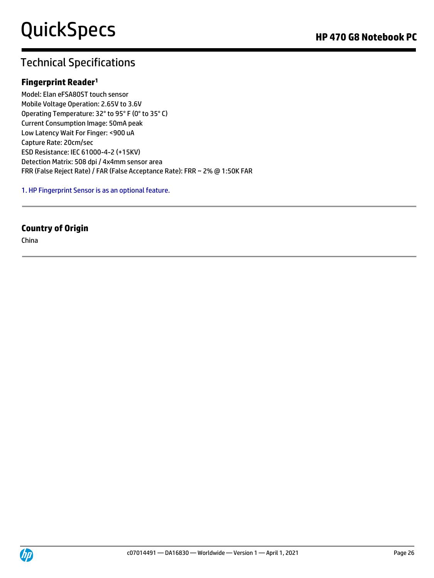## **Fingerprint Reader<sup>1</sup>**

Model: Elan eFSA80ST touch sensor Mobile Voltage Operation: 2.65V to 3.6V Operating Temperature: 32° to 95° F (0° to 35° C) Current Consumption Image: 50mA peak Low Latency Wait For Finger: <900 uA Capture Rate: 20cm/sec ESD Resistance: IEC 61000-4-2 (+15KV) Detection Matrix: 508 dpi / 4x4mm sensor area FRR (False Reject Rate) / FAR (False Acceptance Rate): FRR ~ 2% @ 1:50K FAR

### 1. HP Fingerprint Sensor is as an optional feature.

## **Country of Origin**

China

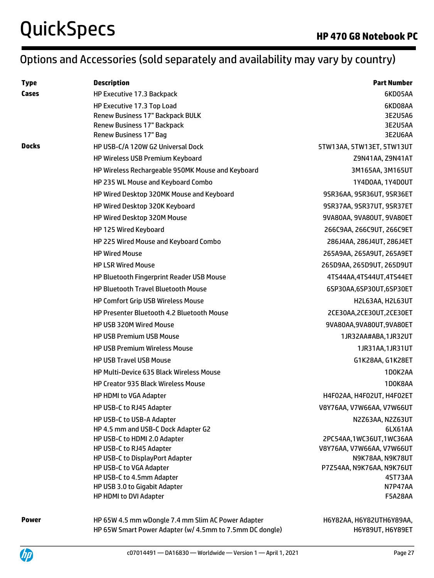# Options and Accessories (sold separately and availability may vary by country)

| <b>Type</b>  | <b>Description</b>                                              | <b>Part Number</b>            |
|--------------|-----------------------------------------------------------------|-------------------------------|
| Cases        | HP Executive 17.3 Backpack                                      | 6KD05AA                       |
|              | HP Executive 17.3 Top Load                                      | 6KD08AA                       |
|              | Renew Business 17" Backpack BULK<br>Renew Business 17" Backpack | 3E2U5A6<br>3E2U5AA            |
|              | <b>Renew Business 17" Bag</b>                                   | 3E2U6AA                       |
| <b>Docks</b> | HP USB-C/A 120W G2 Universal Dock                               | 5TW13AA, 5TW13ET, 5TW13UT     |
|              | HP Wireless USB Premium Keyboard                                | Z9N41AA, Z9N41AT              |
|              | HP Wireless Rechargeable 950MK Mouse and Keyboard               | 3M165AA, 3M165UT              |
|              | HP 235 WL Mouse and Keyboard Combo                              | 1Y4D0AA, 1Y4D0UT              |
|              | HP Wired Desktop 320MK Mouse and Keyboard                       | 9SR36AA, 9SR36UT, 9SR36ET     |
|              | HP Wired Desktop 320K Keyboard                                  | 9SR37AA, 9SR37UT, 9SR37ET     |
|              | HP Wired Desktop 320M Mouse                                     | 9VA80AA, 9VA80UT, 9VA80ET     |
|              | HP 125 Wired Keyboard                                           | 266C9AA, 266C9UT, 266C9ET     |
|              | HP 225 Wired Mouse and Keyboard Combo                           | 286J4AA, 286J4UT, 286J4ET     |
|              | <b>HP Wired Mouse</b>                                           | 265A9AA, 265A9UT, 265A9ET     |
|              | <b>HP LSR Wired Mouse</b>                                       | 265D9AA, 265D9UT, 265D9UT     |
|              | <b>HP Bluetooth Fingerprint Reader USB Mouse</b>                | 4TS44AA,4TS44UT,4TS44ET       |
|              | <b>HP Bluetooth Travel Bluetooth Mouse</b>                      | 6SP30AA,6SP30UT,6SP30ET       |
|              | <b>HP Comfort Grip USB Wireless Mouse</b>                       | H2L63AA, H2L63UT              |
|              | HP Presenter Bluetooth 4.2 Bluetooth Mouse                      | 2CE30AA, 2CE30UT, 2CE30ET     |
|              | HP USB 320M Wired Mouse                                         | 9VA80AA, 9VA80UT, 9VA80ET     |
|              | <b>HP USB Premium USB Mouse</b>                                 | 1JR32AA#ABA,1JR32UT           |
|              | <b>HP USB Premium Wireless Mouse</b>                            | 1JR31AA,1JR31UT               |
|              | <b>HP USB Travel USB Mouse</b>                                  | G1K28AA, G1K28ET              |
|              | HP Multi-Device 635 Black Wireless Mouse                        | 1D0K2AA                       |
|              | <b>HP Creator 935 Black Wireless Mouse</b>                      | 1D0K8AA                       |
|              | HP HDMI to VGA Adapter                                          | H4F02AA, H4F02UT, H4F02ET     |
|              | HP USB-C to RJ45 Adapter                                        | V8Y76AA, V7W66AA, V7W66UT     |
|              | HP USB-C to USB-A Adapter                                       | N2Z63AA, N2Z63UT              |
|              | HP 4.5 mm and USB-C Dock Adapter G2                             | 6LX61AA                       |
|              | HP USB-C to HDMI 2.0 Adapter                                    | 2PC54AA,1WC36UT,1WC36AA       |
|              | HP USB-C to RJ45 Adapter                                        | V8Y76AA, V7W66AA, V7W66UT     |
|              | HP USB-C to DisplayPort Adapter                                 | N9K78AA, N9K78UT              |
|              | HP USB-C to VGA Adapter                                         | P7Z54AA, N9K76AA, N9K76UT     |
|              | HP USB-C to 4.5mm Adapter                                       | 4ST73AA                       |
|              | HP USB 3.0 to Gigabit Adapter<br>HP HDMI to DVI Adapter         | N7P47AA<br>F5A28AA            |
| Dower        | UD CEW 4 E mm u Dangle 7 A mm Clim AC Douar Adapter             | <b>UCVOJAA UCVOJUTUCVOOAA</b> |

**Power HP 65W 4.5 mm wDongle 7.4 mm Slim AC Power Adapter** HP 65W Smart Power Adapter (w/ 4.5mm to 7.5mm DC dongle) H6Y82AA, H6Y82UTH6Y89AA, H6Y89UT, H6Y89ET

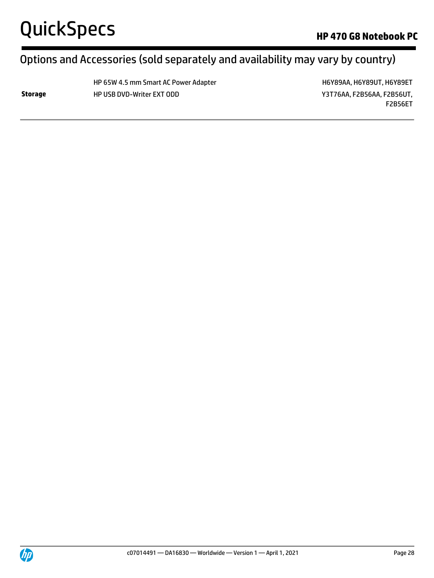# Options and Accessories (sold separately and availability may vary by country)

HP 65W 4.5 mm Smart AC Power Adapter Hexander H6Y89AA, H6Y89UT, H6Y89ET **Storage** HP USB DVD-Writer EXT ODD **WEIGHT AND RESOURCE AT A STATE OF A STATE AND RESOURLY STATES AND RESOURCE TO A STATE OF A STATE OF A STATE OF A STATE OF A STATE OF A STATE OF A STATE OF A STATE OF A STATE OF A STATE** 

F2B56ET